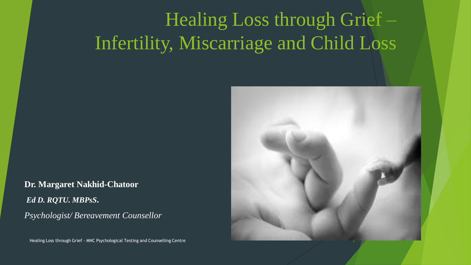# Healing Loss through Grief – Infertility, Miscarriage and Child Loss

**Dr. Margaret Nakhid-Chatoor** *Ed D. RQTU. MBPsS***.** *Psychologist/ Bereavement Counsellor*

Healing Loss through Grief - MNC Psychological Testing and Counselling Centre 1

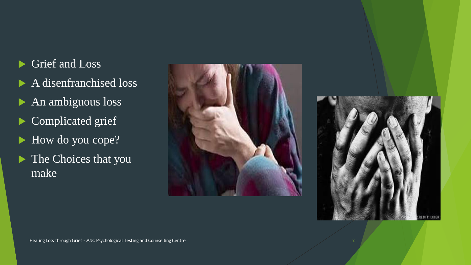### Grief and Loss

- A disenfranchised loss
- An ambiguous loss
- Complicated grief
- How do you cope?
- The Choices that you make



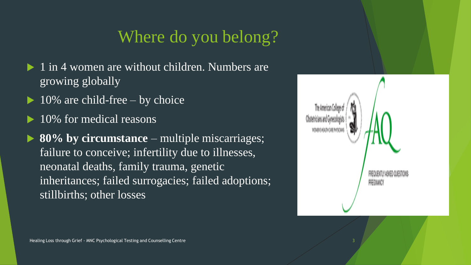### Where do you belong?

- $\blacktriangleright$  1 in 4 women are without children. Numbers are growing globally
- 10% are child-free by choice
- 10% for medical reasons
- **80% by circumstance** multiple miscarriages; failure to conceive; infertility due to illnesses, neonatal deaths, family trauma, genetic inheritances; failed surrogacies; failed adoptions; stillbirths; other losses

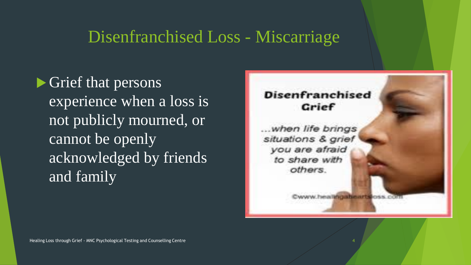### Disenfranchised Loss - Miscarriage

**S** Grief that persons experience when a loss is not publicly mourned, or cannot be openly acknowledged by friends and family

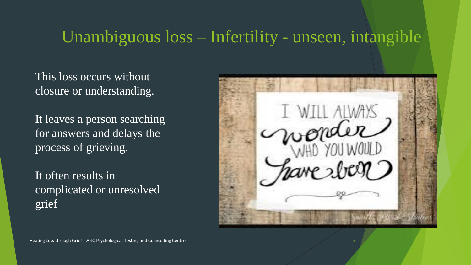### Unambiguous loss – Infertility - unseen, intangible

This loss occurs without closure or understanding.

It leaves a person searching for answers and delays the process of grieving.

It often results in complicated or unresolved grief



5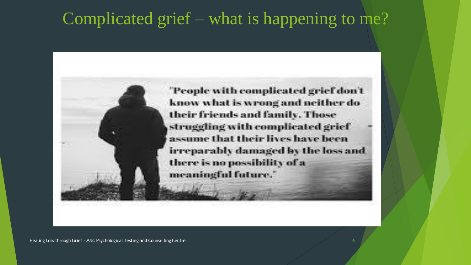### Complicated grief – what is happening to me?

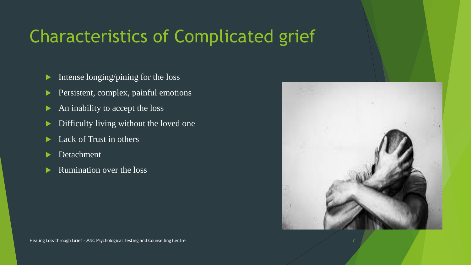## Characteristics of Complicated grief

- Intense longing/pining for the loss
- Persistent, complex, painful emotions
- An inability to accept the loss
- Difficulty living without the loved one
- Lack of Trust in others
- Detachment
- Rumination over the loss

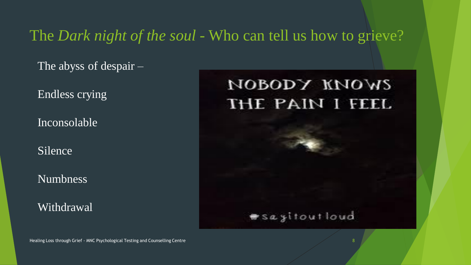The *Dark night of the soul* - Who can tell us how to grieve?

The abyss of despair –

Endless crying

Inconsolable

Silence

Numbness

Withdrawal

## иоворх киомг THE PAIN I FEEL

### #sayitoutloud

Healing Loss through Grief - MNC Psychological Testing and Counselling Centre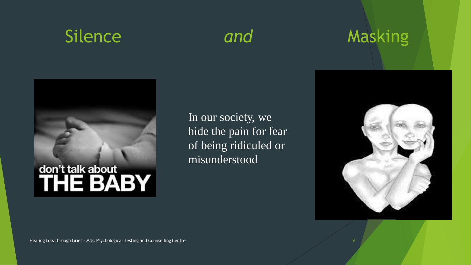

## Silence and Masking



In our society, we hide the pain for fear of being ridiculed or misunderstood



9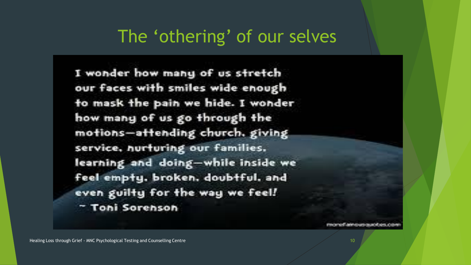### The 'othering' of our selves

I wonder how many of us stretch our faces with smiles wide enough to mask the pain we hide. I wonder how many of us go through the motions-attending church, giving service, nurturing our families. learning and doing-while inside we feel empty, broken, doubtful, and even guilty for the way we feel! " Toni Sorenson

**INVENTIONADE RELIGIO**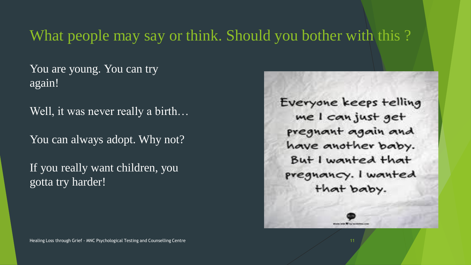### What people may say or think. Should you bother with this ?

You are young. You can try again!

Well, it was never really a birth…

You can always adopt. Why not?

If you really want children, you gotta try harder!

Everyone keeps telling me I can just get pregnant again and have another baby. But I wanted that pregnancy. I wanted that baby.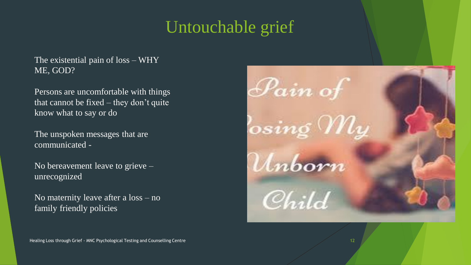### Untouchable grief

The existential pain of loss – WHY ME, GOD?

Persons are uncomfortable with things that cannot be fixed – they don't quite know what to say or do

The unspoken messages that are communicated -

No bereavement leave to grieve – unrecognized

No maternity leave after a loss – no family friendly policies

Healing Loss through Grief - MNC Psychological Testing and Counselling Centre

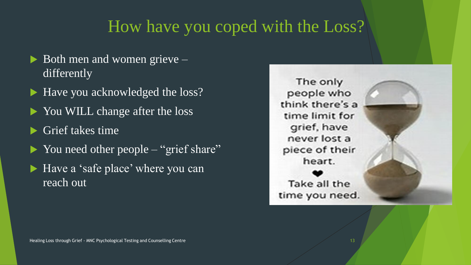### How have you coped with the Loss?

- $\triangleright$  Both men and women grieve differently
- ▶ Have you acknowledged the loss?
- ▶ You WILL change after the loss
- **S** Grief takes time
- ▶ You need other people "grief share"
- ▶ Have a 'safe place' where you can reach out

The only people who think there's a time limit for grief, have never lost a piece of their heart. Take all the time you need.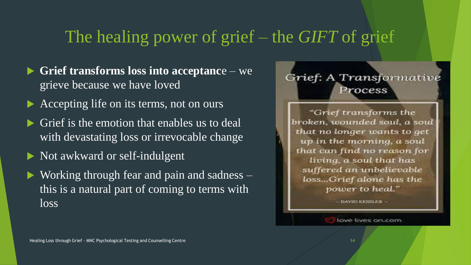### The healing power of grief – the *GIFT* of grief

- **Grief transforms loss into acceptanc**e we grieve because we have loved
- Accepting life on its terms, not on ours
- Grief is the emotion that enables us to deal with devastating loss or irrevocable change
- Not awkward or self-indulgent
- ▶ Working through fear and pain and sadness this is a natural part of coming to terms with loss

### Grief: A Transformative Process

"Grief transforms the broken, wounded soul, a soul that no longer wants to get up in the morning, a soul that can find no reason for living, a soul that has suffered an unbelievable loss...Grief alone has the power to heal."

- DANTO KESSLEIR -